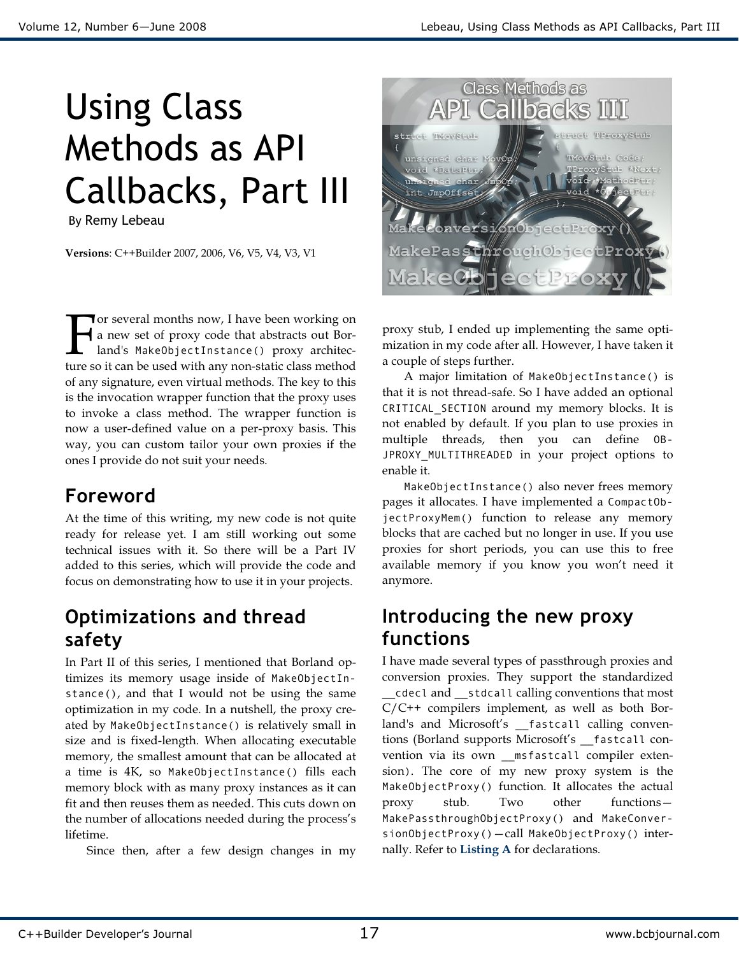# Using Class Methods as API Callbacks, Part III

By Remy Lebeau

Versions: C++Builder 2007, 2006, V6, V5, V4, V3, V1

**Tor several months now, I have been working on** a new set of proxy code that abstracts out Borland's MakeObjectInstance() proxy architec-The several months now, I have been working on<br>
a new set of proxy code that abstracts out Bor-<br>
land's MakeObjectInstance() proxy architec-<br>
ture so it can be used with any non-static class method of any signature, even virtual methods. The key to this is the invocation wrapper function that the proxy uses to invoke a class method. The wrapper function is now a user-defined value on a per-proxy basis. This way, you can custom tailor your own proxies if the ones I provide do not suit your needs.

## Foreword

At the time of this writing, my new code is not quite ready for release yet. I am still working out some technical issues with it. So there will be a Part IV added to this series, which will provide the code and focus on demonstrating how to use it in your projects.

## Optimizations and thread safety

In Part II of this series, I mentioned that Borland optimizes its memory usage inside of MakeObjectInstance(), and that I would not be using the same optimization in my code. In a nutshell, the proxy created by MakeObjectInstance() is relatively small in size and is fixed-length. When allocating executable memory, the smallest amount that can be allocated at a time is 4K, so MakeObjectInstance() fills each memory block with as many proxy instances as it can fit and then reuses them as needed. This cuts down on the number of allocations needed during the process's lifetime.

Since then, after a few design changes in my



proxy stub, I ended up implementing the same optimization in my code after all. However, I have taken it a couple of steps further.

A major limitation of MakeObjectInstance() is that it is not thread-safe. So I have added an optional CRITICAL\_SECTION around my memory blocks. It is not enabled by default. If you plan to use proxies in multiple threads, then you can define OB-JPROXY\_MULTITHREADED in your project options to enable it.

MakeObjectInstance() also never frees memory pages it allocates. I have implemented a CompactObjectProxyMem() function to release any memory blocks that are cached but no longer in use. If you use proxies for short periods, you can use this to free available memory if you know you won't need it anymore.

## Introducing the new proxy functions

I have made several types of passthrough proxies and conversion proxies. They support the standardized \_\_cdecl and \_\_stdcall calling conventions that most  $C/C++$  compilers implement, as well as both Borland's and Microsoft's \_fastcall calling conventions (Borland supports Microsoft's \_\_fastcall convention via its own \_\_msfastcall compiler extension). The core of my new proxy system is the MakeObjectProxy() function. It allocates the actual proxy stub. Two other functions— MakePassthroughObjectProxy() and MakeConversionObjectProxy()—call MakeObjectProxy() internally. Refer to Listing A for declarations.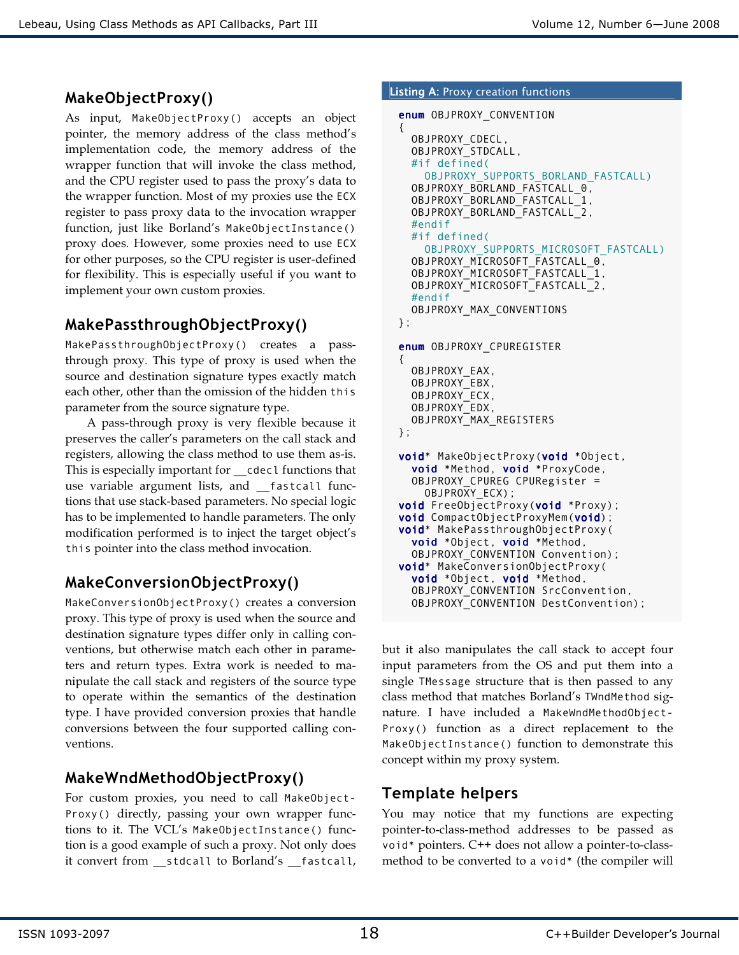## MakeObjectProxy()

As input, MakeObjectProxy() accepts an object pointer, the memory address of the class method's implementation code, the memory address of the wrapper function that will invoke the class method, and the CPU register used to pass the proxy's data to the wrapper function. Most of my proxies use the ECX register to pass proxy data to the invocation wrapper function, just like Borland's MakeObjectInstance() proxy does. However, some proxies need to use ECX for other purposes, so the CPU register is user-defined for flexibility. This is especially useful if you want to implement your own custom proxies.

## MakePassthroughObjectProxy()

MakePassthroughObjectProxy() creates a passthrough proxy. This type of proxy is used when the source and destination signature types exactly match each other, other than the omission of the hidden this parameter from the source signature type.

 A pass-through proxy is very flexible because it preserves the caller's parameters on the call stack and registers, allowing the class method to use them as-is. This is especially important for cdecl functions that use variable argument lists, and \_\_fastcall functions that use stack-based parameters. No special logic has to be implemented to handle parameters. The only modification performed is to inject the target object's this pointer into the class method invocation.

## MakeConversionObjectProxy()

MakeConversionObjectProxy() creates a conversion proxy. This type of proxy is used when the source and destination signature types differ only in calling conventions, but otherwise match each other in parameters and return types. Extra work is needed to manipulate the call stack and registers of the source type to operate within the semantics of the destination type. I have provided conversion proxies that handle conversions between the four supported calling conventions.

## MakeWndMethodObjectProxy()

For custom proxies, you need to call MakeObject-Proxy() directly, passing your own wrapper functions to it. The VCL's MakeObjectInstance() function is a good example of such a proxy. Not only does it convert from \_\_stdcall to Borland's \_\_fastcall,

#### Listing A: Proxy creation functions

```
enum OBJPROXY_CONVENTION 
{ 
   OBJPROXY_CDECL, 
   OBJPROXY_STDCALL, 
   #if defined( 
    OBJPROXY_SUPPORTS_BORLAND_FASTCALL)
  OBJPROXY_BORLAND_FASTCALL_0,
  OBJPROXY_BORLAND_FASTCALL_1,
   OBJPROXY_BORLAND_FASTCALL_2, 
   #endif 
   #if defined( 
    OBJPROXY_SUPPORTS_MICROSOFT_FASTCALL)
   OBJPROXY_MICROSOFT_FASTCALL_0, 
   OBJPROXY_MICROSOFT_FASTCALL_1, 
   OBJPROXY_MICROSOFT_FASTCALL_2, 
   #endif 
   OBJPROXY_MAX_CONVENTIONS 
}; 
enum OBJPROXY_CPUREGISTER 
{ 
   OBJPROXY_EAX, 
   OBJPROXY_EBX, 
   OBJPROXY_ECX, 
   OBJPROXY_EDX, 
   OBJPROXY_MAX_REGISTERS 
}; 
void* MakeObjectProxy(void *Object,
   void *Method, void *ProxyCode, 
   OBJPROXY_CPUREG CPURegister = 
     OBJPROXY_ECX); 
void FreeObjectProxy(void *Proxy);
void CompactObjectProxyMem(void);
void* MakePassthroughObjectProxy( 
   void *Object, void *Method, 
   OBJPROXY_CONVENTION Convention); 
void* MakeConversionObjectProxy( 
   void *Object, void *Method, 
   OBJPROXY_CONVENTION SrcConvention, 
   OBJPROXY_CONVENTION DestConvention);
```
but it also manipulates the call stack to accept four input parameters from the OS and put them into a single TMessage structure that is then passed to any class method that matches Borland's TWndMethod signature. I have included a MakeWndMethodObject-Proxy() function as a direct replacement to the MakeObjectInstance() function to demonstrate this concept within my proxy system.

### Template helpers

You may notice that my functions are expecting pointer-to-class-method addresses to be passed as void\* pointers. C++ does not allow a pointer-to-classmethod to be converted to a void\* (the compiler will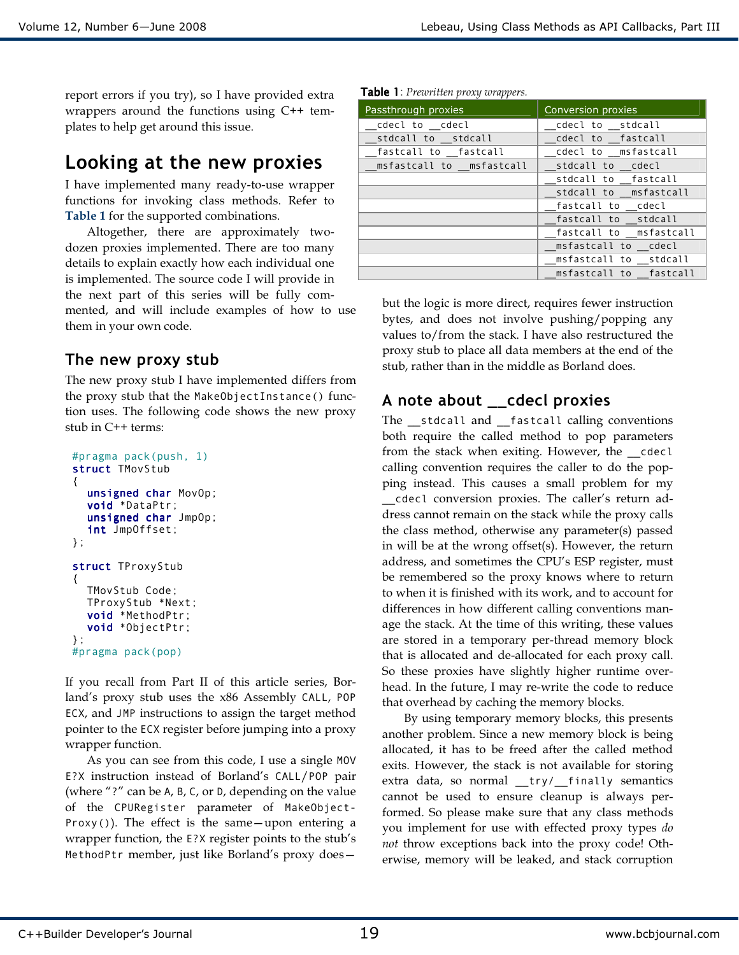report errors if you try), so I have provided extra wrappers around the functions using C++ templates to help get around this issue.

## Looking at the new proxies

I have implemented many ready-to-use wrapper functions for invoking class methods. Refer to Table 1 for the supported combinations.

Altogether, there are approximately twodozen proxies implemented. There are too many details to explain exactly how each individual one is implemented. The source code I will provide in the next part of this series will be fully commented, and will include examples of how to use them in your own code.

#### The new proxy stub

The new proxy stub I have implemented differs from the proxy stub that the MakeObjectInstance() function uses. The following code shows the new proxy stub in C++ terms:

```
#pragma pack(push, 1) 
struct TMovStub 
{ 
  unsigned char MovOp; 
  void *DataPtr; 
  unsigned char JmpOp; 
  int JmpOffset; 
}; 
struct TProxyStub 
{ 
   TMovStub Code; 
   TProxyStub *Next; 
  void *MethodPtr; 
  void *ObjectPtr; 
}; 
#pragma pack(pop)
```
If you recall from Part II of this article series, Borland's proxy stub uses the x86 Assembly CALL, POP ECX, and JMP instructions to assign the target method pointer to the ECX register before jumping into a proxy wrapper function.

 As you can see from this code, I use a single MOV E?X instruction instead of Borland's CALL/POP pair (where "?" can be A, B, C, or D, depending on the value of the CPURegister parameter of MakeObject- $Proxy()$ ). The effect is the same—upon entering a wrapper function, the E?X register points to the stub's MethodPtr member, just like Borland's proxy does—

|  |  | Table 1: Prewritten proxy wrappers. |  |  |
|--|--|-------------------------------------|--|--|
|--|--|-------------------------------------|--|--|

| . .<br>Passthrough proxies | Conversion proxies     |  |
|----------------------------|------------------------|--|
| cdecl to cdecl             | cdecl to stdcall       |  |
| stdcall to stdcall         | cdecl to fastcall      |  |
| fastcall to fastcall       | cdecl to msfastcall    |  |
| msfastcall to msfastcall   | stdcall to cdecl       |  |
|                            | stdcall to fastcall    |  |
|                            | stdcall to msfastcall  |  |
|                            | fastcall to cdecl      |  |
|                            | fastcall to stdcall    |  |
|                            | fastcall to msfastcall |  |
|                            | msfastcall to cdecl    |  |
|                            | msfastcall to stdcall  |  |
|                            | msfastcall to fastcall |  |

but the logic is more direct, requires fewer instruction bytes, and does not involve pushing/popping any values to/from the stack. I have also restructured the proxy stub to place all data members at the end of the stub, rather than in the middle as Borland does.

#### A note about \_\_cdecl proxies

The stdcall and fastcall calling conventions both require the called method to pop parameters from the stack when exiting. However, the cdecl calling convention requires the caller to do the popping instead. This causes a small problem for my \_\_cdecl conversion proxies. The caller's return address cannot remain on the stack while the proxy calls the class method, otherwise any parameter(s) passed in will be at the wrong offset(s). However, the return address, and sometimes the CPU's ESP register, must be remembered so the proxy knows where to return to when it is finished with its work, and to account for differences in how different calling conventions manage the stack. At the time of this writing, these values are stored in a temporary per-thread memory block that is allocated and de-allocated for each proxy call. So these proxies have slightly higher runtime overhead. In the future, I may re-write the code to reduce that overhead by caching the memory blocks.

 By using temporary memory blocks, this presents another problem. Since a new memory block is being allocated, it has to be freed after the called method exits. However, the stack is not available for storing extra data, so normal \_\_try/\_\_finally semantics cannot be used to ensure cleanup is always performed. So please make sure that any class methods you implement for use with effected proxy types do not throw exceptions back into the proxy code! Otherwise, memory will be leaked, and stack corruption